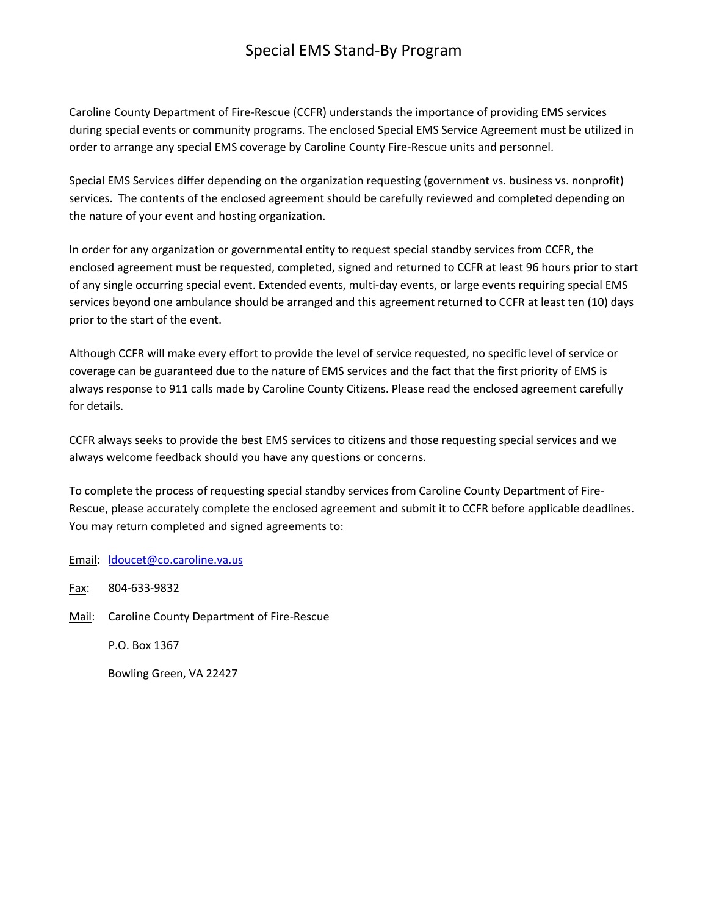# Special EMS Stand‐By Program

Caroline County Department of Fire‐Rescue (CCFR) understands the importance of providing EMS services during special events or community programs. The enclosed Special EMS Service Agreement must be utilized in order to arrange any special EMS coverage by Caroline County Fire‐Rescue units and personnel.

Special EMS Services differ depending on the organization requesting (government vs. business vs. nonprofit) services. The contents of the enclosed agreement should be carefully reviewed and completed depending on the nature of your event and hosting organization.

In order for any organization or governmental entity to request special standby services from CCFR, the enclosed agreement must be requested, completed, signed and returned to CCFR at least 96 hours prior to start of any single occurring special event. Extended events, multi‐day events, or large events requiring special EMS services beyond one ambulance should be arranged and this agreement returned to CCFR at least ten (10) days prior to the start of the event.

Although CCFR will make every effort to provide the level of service requested, no specific level of service or coverage can be guaranteed due to the nature of EMS services and the fact that the first priority of EMS is always response to 911 calls made by Caroline County Citizens. Please read the enclosed agreement carefully for details.

CCFR always seeks to provide the best EMS services to citizens and those requesting special services and we always welcome feedback should you have any questions or concerns.

To complete the process of requesting special standby services from Caroline County Department of Fire‐ Rescue, please accurately complete the enclosed agreement and submit it to CCFR before applicable deadlines. You may return completed and signed agreements to:

#### Email: ldoucet@co.caroline.va.us

Fax: 804‐633‐9832

Mail: Caroline County Department of Fire-Rescue

P.O. Box 1367

Bowling Green, VA 22427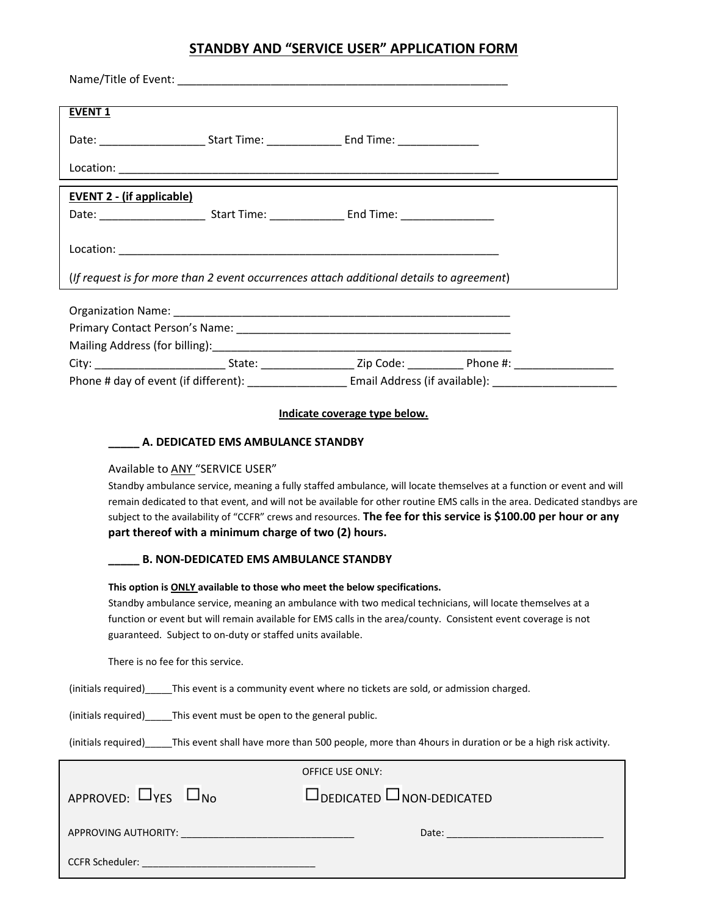## **STANDBY AND "SERVICE USER" APPLICATION FORM**

| <b>EVENT 1</b>                                                                                                                                                                                                                                                                                                                                                                                                                                                                                                   |                                                                                                                      |
|------------------------------------------------------------------------------------------------------------------------------------------------------------------------------------------------------------------------------------------------------------------------------------------------------------------------------------------------------------------------------------------------------------------------------------------------------------------------------------------------------------------|----------------------------------------------------------------------------------------------------------------------|
| Date: ____________________________Start Time: ___________________________________                                                                                                                                                                                                                                                                                                                                                                                                                                |                                                                                                                      |
|                                                                                                                                                                                                                                                                                                                                                                                                                                                                                                                  |                                                                                                                      |
| <b>EVENT 2 - (if applicable)</b>                                                                                                                                                                                                                                                                                                                                                                                                                                                                                 |                                                                                                                      |
|                                                                                                                                                                                                                                                                                                                                                                                                                                                                                                                  |                                                                                                                      |
|                                                                                                                                                                                                                                                                                                                                                                                                                                                                                                                  |                                                                                                                      |
| (If request is for more than 2 event occurrences attach additional details to agreement)                                                                                                                                                                                                                                                                                                                                                                                                                         |                                                                                                                      |
|                                                                                                                                                                                                                                                                                                                                                                                                                                                                                                                  |                                                                                                                      |
|                                                                                                                                                                                                                                                                                                                                                                                                                                                                                                                  |                                                                                                                      |
|                                                                                                                                                                                                                                                                                                                                                                                                                                                                                                                  | City: ______________________________State: ______________________Zip Code: _______________Phone #: _________________ |
|                                                                                                                                                                                                                                                                                                                                                                                                                                                                                                                  | Phone # day of event (if different): ________________________ Email Address (if available): ________________________ |
| Indicate coverage type below.                                                                                                                                                                                                                                                                                                                                                                                                                                                                                    |                                                                                                                      |
| A. DEDICATED EMS AMBULANCE STANDBY                                                                                                                                                                                                                                                                                                                                                                                                                                                                               |                                                                                                                      |
| Available to ANY "SERVICE USER"<br>Standby ambulance service, meaning a fully staffed ambulance, will locate themselves at a function or event and will<br>remain dedicated to that event, and will not be available for other routine EMS calls in the area. Dedicated standbys are<br>subject to the availability of "CCFR" crews and resources. The fee for this service is \$100.00 per hour or any<br>part thereof with a minimum charge of two (2) hours.<br><b>B. NON-DEDICATED EMS AMBULANCE STANDBY</b> |                                                                                                                      |
|                                                                                                                                                                                                                                                                                                                                                                                                                                                                                                                  |                                                                                                                      |
| This option is ONLY available to those who meet the below specifications.<br>Standby ambulance service, meaning an ambulance with two medical technicians, will locate themselves at a<br>function or event but will remain available for EMS calls in the area/county. Consistent event coverage is not<br>guaranteed. Subject to on-duty or staffed units available.                                                                                                                                           |                                                                                                                      |
| There is no fee for this service.                                                                                                                                                                                                                                                                                                                                                                                                                                                                                |                                                                                                                      |
| (initials required)______This event is a community event where no tickets are sold, or admission charged.                                                                                                                                                                                                                                                                                                                                                                                                        |                                                                                                                      |
| (initials required)_____This event must be open to the general public.                                                                                                                                                                                                                                                                                                                                                                                                                                           |                                                                                                                      |
| (initials required) _____This event shall have more than 500 people, more than 4hours in duration or be a high risk activity.                                                                                                                                                                                                                                                                                                                                                                                    |                                                                                                                      |
| <b>OFFICE USE ONLY:</b>                                                                                                                                                                                                                                                                                                                                                                                                                                                                                          |                                                                                                                      |
| APPROVED: $\Box$ YES $\Box$ No                                                                                                                                                                                                                                                                                                                                                                                                                                                                                   | $\Box$ DEDICATED $\Box$ NON-DEDICATED                                                                                |
| APPROVING AUTHORITY:                                                                                                                                                                                                                                                                                                                                                                                                                                                                                             | Date:                                                                                                                |

CCFR Scheduler: \_\_\_\_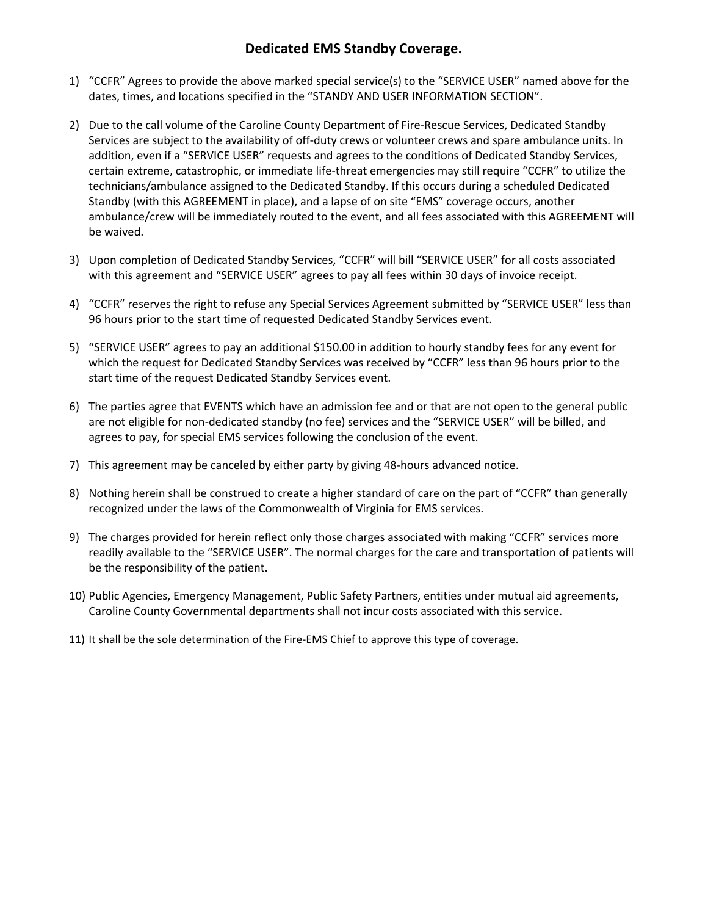## **Dedicated EMS Standby Coverage.**

- 1) "CCFR" Agrees to provide the above marked special service(s) to the "SERVICE USER" named above for the dates, times, and locations specified in the "STANDY AND USER INFORMATION SECTION".
- 2) Due to the call volume of the Caroline County Department of Fire-Rescue Services, Dedicated Standby Services are subject to the availability of off‐duty crews or volunteer crews and spare ambulance units. In addition, even if a "SERVICE USER" requests and agrees to the conditions of Dedicated Standby Services, certain extreme, catastrophic, or immediate life‐threat emergencies may still require "CCFR" to utilize the technicians/ambulance assigned to the Dedicated Standby. If this occurs during a scheduled Dedicated Standby (with this AGREEMENT in place), and a lapse of on site "EMS" coverage occurs, another ambulance/crew will be immediately routed to the event, and all fees associated with this AGREEMENT will be waived.
- 3) Upon completion of Dedicated Standby Services, "CCFR" will bill "SERVICE USER" for all costs associated with this agreement and "SERVICE USER" agrees to pay all fees within 30 days of invoice receipt.
- 4) "CCFR" reserves the right to refuse any Special Services Agreement submitted by "SERVICE USER" less than 96 hours prior to the start time of requested Dedicated Standby Services event.
- 5) "SERVICE USER" agrees to pay an additional \$150.00 in addition to hourly standby fees for any event for which the request for Dedicated Standby Services was received by "CCFR" less than 96 hours prior to the start time of the request Dedicated Standby Services event.
- 6) The parties agree that EVENTS which have an admission fee and or that are not open to the general public are not eligible for non-dedicated standby (no fee) services and the "SERVICE USER" will be billed, and agrees to pay, for special EMS services following the conclusion of the event.
- 7) This agreement may be canceled by either party by giving 48‐hours advanced notice.
- 8) Nothing herein shall be construed to create a higher standard of care on the part of "CCFR" than generally recognized under the laws of the Commonwealth of Virginia for EMS services.
- 9) The charges provided for herein reflect only those charges associated with making "CCFR" services more readily available to the "SERVICE USER". The normal charges for the care and transportation of patients will be the responsibility of the patient.
- 10) Public Agencies, Emergency Management, Public Safety Partners, entities under mutual aid agreements, Caroline County Governmental departments shall not incur costs associated with this service.
- 11) It shall be the sole determination of the Fire-EMS Chief to approve this type of coverage.